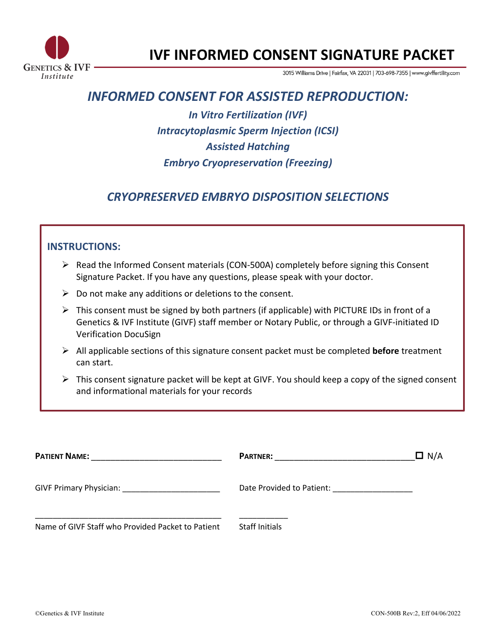

# **IVF INFORMED CONSENT SIGNATURE PACKET**

3015 Williams Drive | Fairfax, VA 22031 | 703-698-7355 | www.givffertility.com

# *INFORMED CONSENT FOR ASSISTED REPRODUCTION:*

*In Vitro Fertilization (IVF) Intracytoplasmic Sperm Injection (ICSI) Assisted Hatching Embryo Cryopreservation (Freezing)*

# *CRYOPRESERVED EMBRYO DISPOSITION SELECTIONS*

# **INSTRUCTIONS:**

- $\triangleright$  Read the Informed Consent materials (CON-500A) completely before signing this Consent Signature Packet. If you have any questions, please speak with your doctor.
- $\triangleright$  Do not make any additions or deletions to the consent.
- $\triangleright$  This consent must be signed by both partners (if applicable) with PICTURE IDs in front of a Genetics & IVF Institute (GIVF) staff member or Notary Public, or through a GIVF-initiated ID Verification DocuSign
- Ø All applicable sections of this signature consent packet must be completed **before** treatment can start.
- $\triangleright$  This consent signature packet will be kept at GIVF. You should keep a copy of the signed consent and informational materials for your records

| <b>PATIENT NAME:</b>                              | <b>PARTNER:</b>                                                           | $\Box$ N/A |
|---------------------------------------------------|---------------------------------------------------------------------------|------------|
| <b>GIVF Primary Physician:</b>                    | Date Provided to Patient:<br>the control of the control of the control of |            |
| Name of GIVF Staff who Provided Packet to Patient | <b>Staff Initials</b>                                                     |            |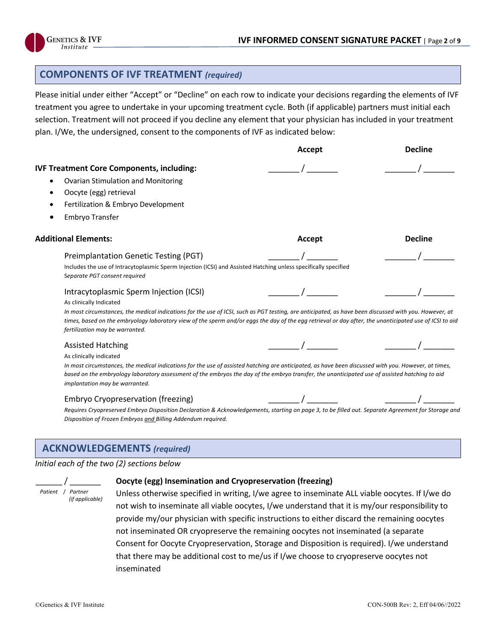

## **COMPONENTS OF IVF TREATMENT** *(required)*

Please initial under either "Accept" or "Decline" on each row to indicate your decisions regarding the elements of IVF treatment you agree to undertake in your upcoming treatment cycle. Both (if applicable) partners must initial each selection. Treatment will not proceed if you decline any element that your physician has included in your treatment plan. I/We, the undersigned, consent to the components of IVF as indicated below:

|                                                                                                                                                                                                                                                                                                                                                      | Accept | <b>Decline</b> |
|------------------------------------------------------------------------------------------------------------------------------------------------------------------------------------------------------------------------------------------------------------------------------------------------------------------------------------------------------|--------|----------------|
| <b>IVF Treatment Core Components, including:</b>                                                                                                                                                                                                                                                                                                     |        |                |
| <b>Ovarian Stimulation and Monitoring</b>                                                                                                                                                                                                                                                                                                            |        |                |
| Oocyte (egg) retrieval                                                                                                                                                                                                                                                                                                                               |        |                |
| Fertilization & Embryo Development                                                                                                                                                                                                                                                                                                                   |        |                |
| Embryo Transfer                                                                                                                                                                                                                                                                                                                                      |        |                |
| <b>Additional Elements:</b>                                                                                                                                                                                                                                                                                                                          | Accept | <b>Decline</b> |
| <b>Preimplantation Genetic Testing (PGT)</b>                                                                                                                                                                                                                                                                                                         |        |                |
| Includes the use of Intracytoplasmic Sperm Injection (ICSI) and Assisted Hatching unless specifically specified<br>Separate PGT consent required                                                                                                                                                                                                     |        |                |
| Intracytoplasmic Sperm Injection (ICSI)                                                                                                                                                                                                                                                                                                              |        |                |
| As clinically Indicated                                                                                                                                                                                                                                                                                                                              |        |                |
| In most circumstances, the medical indications for the use of ICSI, such as PGT testing, are anticipated, as have been discussed with you. However, at<br>times, based on the embryology laboratory view of the sperm and/or eggs the day of the egg retrieval or day after, the unanticipated use of ICSI to aid<br>fertilization may be warranted. |        |                |
| <b>Assisted Hatching</b>                                                                                                                                                                                                                                                                                                                             |        |                |
| As clinically indicated                                                                                                                                                                                                                                                                                                                              |        |                |
| In most circumstances, the medical indications for the use of assisted hatching are anticipated, as have been discussed with you. However, at times,<br>based on the embryology laboratory assessment of the embryos the day of the embryo transfer, the unanticipated use of assisted hatching to aid<br>implantation may be warranted.             |        |                |
| Embryo Cryopreservation (freezing)                                                                                                                                                                                                                                                                                                                   |        |                |
| Requires Cryopreserved Embryo Disposition Declaration & Acknowledgements, starting on page 3, to be filled out. Separate Agreement for Storage and<br>Disposition of Frozen Embryos and Billing Addendum required.                                                                                                                                   |        |                |

#### **ACKNOWLEDGEMENTS** *(required)*

#### *Initial each of the two (2) sections below*

|  | Patient / Partner |
|--|-------------------|
|  | (if applicable)   |

#### **Oocyte (egg) Insemination and Cryopreservation (freezing)**

Unless otherwise specified in writing, I/we agree to inseminate ALL viable oocytes. If I/we do not wish to inseminate all viable oocytes, I/we understand that it is my/our responsibility to provide my/our physician with specific instructions to either discard the remaining oocytes not inseminated OR cryopreserve the remaining oocytes not inseminated (a separate Consent for Oocyte Cryopreservation, Storage and Disposition is required). I/we understand that there may be additional cost to me/us if I/we choose to cryopreserve oocytes not inseminated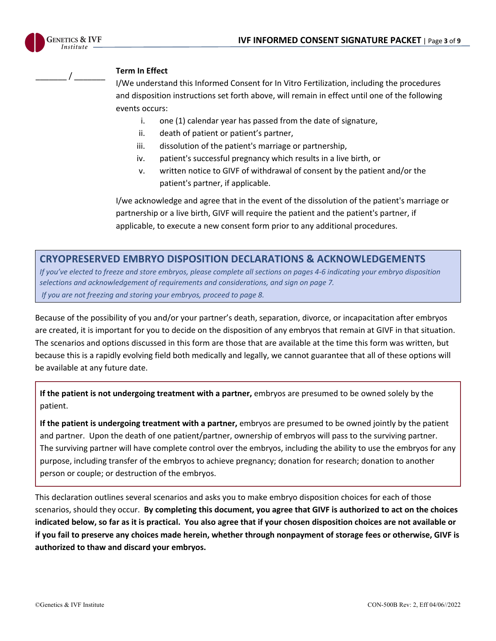

# \_\_\_\_\_\_\_ / \_\_\_\_\_\_\_ **Term In Effect**

I/We understand this Informed Consent for In Vitro Fertilization, including the procedures and disposition instructions set forth above, will remain in effect until one of the following events occurs:

- i. one (1) calendar year has passed from the date of signature,
- ii. death of patient or patient's partner,
- iii. dissolution of the patient's marriage or partnership,
- iv. patient's successful pregnancy which results in a live birth, or
- v. written notice to GIVF of withdrawal of consent by the patient and/or the patient's partner, if applicable.

I/we acknowledge and agree that in the event of the dissolution of the patient's marriage or partnership or a live birth, GIVF will require the patient and the patient's partner, if applicable, to execute a new consent form prior to any additional procedures.

### **CRYOPRESERVED EMBRYO DISPOSITION DECLARATIONS & ACKNOWLEDGEMENTS**

*If you've elected to freeze and store embryos, please complete all sections on pages 4-6 indicating your embryo disposition selections and acknowledgement of requirements and considerations, and sign on page 7. If you are not freezing and storing your embryos, proceed to page 8.*

Because of the possibility of you and/or your partner's death, separation, divorce, or incapacitation after embryos are created, it is important for you to decide on the disposition of any embryos that remain at GIVF in that situation. The scenarios and options discussed in this form are those that are available at the time this form was written, but because this is a rapidly evolving field both medically and legally, we cannot guarantee that all of these options will be available at any future date.

**If the patient is not undergoing treatment with a partner,** embryos are presumed to be owned solely by the patient.

**If the patient is undergoing treatment with a partner,** embryos are presumed to be owned jointly by the patient and partner. Upon the death of one patient/partner, ownership of embryos will pass to the surviving partner. The surviving partner will have complete control over the embryos, including the ability to use the embryos for any purpose, including transfer of the embryos to achieve pregnancy; donation for research; donation to another person or couple; or destruction of the embryos.

This declaration outlines several scenarios and asks you to make embryo disposition choices for each of those scenarios, should they occur. **By completing this document, you agree that GIVF is authorized to act on the choices indicated below, so far as it is practical. You also agree that if your chosen disposition choices are not available or if you fail to preserve any choices made herein, whether through nonpayment of storage fees or otherwise, GIVF is authorized to thaw and discard your embryos.**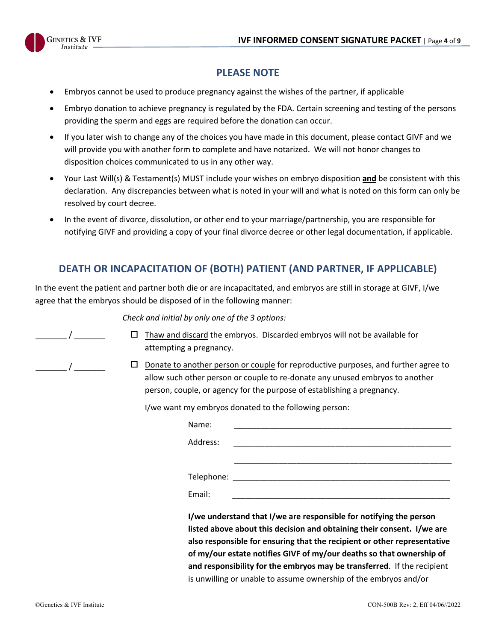

# **PLEASE NOTE**

- Embryos cannot be used to produce pregnancy against the wishes of the partner, if applicable
- Embryo donation to achieve pregnancy is regulated by the FDA. Certain screening and testing of the persons providing the sperm and eggs are required before the donation can occur.
- If you later wish to change any of the choices you have made in this document, please contact GIVF and we will provide you with another form to complete and have notarized. We will not honor changes to disposition choices communicated to us in any other way.
- Your Last Will(s) & Testament(s) MUST include your wishes on embryo disposition **and** be consistent with this declaration. Any discrepancies between what is noted in your will and what is noted on this form can only be resolved by court decree.
- In the event of divorce, dissolution, or other end to your marriage/partnership, you are responsible for notifying GIVF and providing a copy of your final divorce decree or other legal documentation, if applicable.

# **DEATH OR INCAPACITATION OF (BOTH) PATIENT (AND PARTNER, IF APPLICABLE)**

In the event the patient and partner both die or are incapacitated, and embryos are still in storage at GIVF, I/we agree that the embryos should be disposed of in the following manner:

*Check and initial by only one of the 3 options:*

- $\Box$  Thaw and discard the embryos. Discarded embryos will not be available for attempting a pregnancy.
- $\Box$  Donate to another person or couple for reproductive purposes, and further agree to allow such other person or couple to re-donate any unused embryos to another person, couple, or agency for the purpose of establishing a pregnancy.

I/we want my embryos donated to the following person:

| Name:      |                                                                                                                                                                                                                          |
|------------|--------------------------------------------------------------------------------------------------------------------------------------------------------------------------------------------------------------------------|
| Address:   |                                                                                                                                                                                                                          |
|            |                                                                                                                                                                                                                          |
| Telephone: |                                                                                                                                                                                                                          |
| Email:     |                                                                                                                                                                                                                          |
|            | I/we understand that I/we are responsible for notifying the person<br>listed above about this decision and obtaining their consent. I/we are<br>also responsible for ensuring that the recipient or other representative |
|            | of my/our estate notifies GIVF of my/our deaths so that ownership of                                                                                                                                                     |
|            | and responsibility for the embryos may be transferred. If the recipient                                                                                                                                                  |

is unwilling or unable to assume ownership of the embryos and/or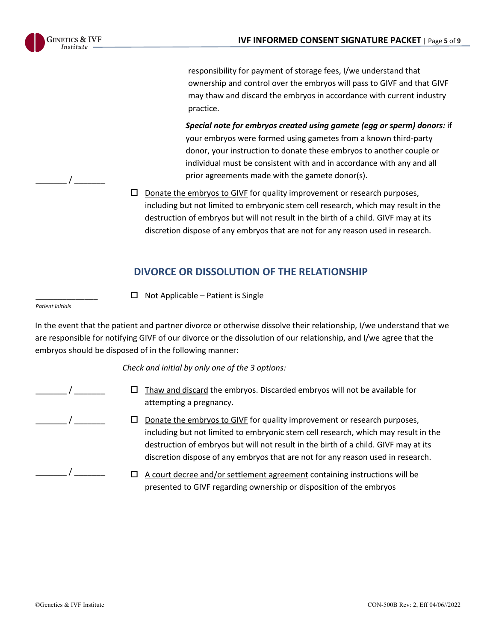

 $\frac{1}{2}$ 

responsibility for payment of storage fees, I/we understand that ownership and control over the embryos will pass to GIVF and that GIVF may thaw and discard the embryos in accordance with current industry practice.

*Special note for embryos created using gamete (egg or sperm) donors:* if your embryos were formed using gametes from a known third-party donor, your instruction to donate these embryos to another couple or individual must be consistent with and in accordance with any and all prior agreements made with the gamete donor(s).

 $\Box$  Donate the embryos to GIVF for quality improvement or research purposes, including but not limited to embryonic stem cell research, which may result in the destruction of embryos but will not result in the birth of a child. GIVF may at its discretion dispose of any embryos that are not for any reason used in research.

# **DIVORCE OR DISSOLUTION OF THE RELATIONSHIP**

 $\Box$  Not Applicable – Patient is Single

*Patient Initials*

\_\_\_\_\_\_\_\_\_\_\_\_\_\_

In the event that the patient and partner divorce or otherwise dissolve their relationship, I/we understand that we are responsible for notifying GIVF of our divorce or the dissolution of our relationship, and I/we agree that the embryos should be disposed of in the following manner:

*Check and initial by only one of the 3 options:*

 $\overline{\phantom{a}}$ 

 $\prime$ 

 $\frac{1}{2}$ 

- $\Box$  Thaw and discard the embryos. Discarded embryos will not be available for attempting a pregnancy.
- $\Box$  Donate the embryos to GIVF for quality improvement or research purposes, including but not limited to embryonic stem cell research, which may result in the destruction of embryos but will not result in the birth of a child. GIVF may at its discretion dispose of any embryos that are not for any reason used in research.
- $\Box$  A court decree and/or settlement agreement containing instructions will be presented to GIVF regarding ownership or disposition of the embryos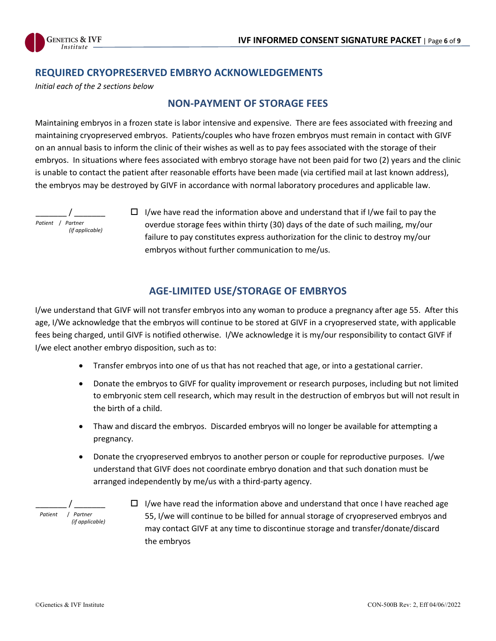

# **REQUIRED CRYOPRESERVED EMBRYO ACKNOWLEDGEMENTS**

*Initial each of the 2 sections below*

### **NON-PAYMENT OF STORAGE FEES**

Maintaining embryos in a frozen state is labor intensive and expensive. There are fees associated with freezing and maintaining cryopreserved embryos. Patients/couples who have frozen embryos must remain in contact with GIVF on an annual basis to inform the clinic of their wishes as well as to pay fees associated with the storage of their embryos. In situations where fees associated with embryo storage have not been paid for two (2) years and the clinic is unable to contact the patient after reasonable efforts have been made (via certified mail at last known address), the embryos may be destroyed by GIVF in accordance with normal laboratory procedures and applicable law.



 $\Box$  I/we have read the information above and understand that if I/we fail to pay the overdue storage fees within thirty (30) days of the date of such mailing, my/our failure to pay constitutes express authorization for the clinic to destroy my/our embryos without further communication to me/us.

# **AGE-LIMITED USE/STORAGE OF EMBRYOS**

I/we understand that GIVF will not transfer embryos into any woman to produce a pregnancy after age 55. After this age, I/We acknowledge that the embryos will continue to be stored at GIVF in a cryopreserved state, with applicable fees being charged, until GIVF is notified otherwise. I/We acknowledge it is my/our responsibility to contact GIVF if I/we elect another embryo disposition, such as to:

- Transfer embryos into one of us that has not reached that age, or into a gestational carrier.
- Donate the embryos to GIVF for quality improvement or research purposes, including but not limited to embryonic stem cell research, which may result in the destruction of embryos but will not result in the birth of a child.
- Thaw and discard the embryos. Discarded embryos will no longer be available for attempting a pregnancy.
- Donate the cryopreserved embryos to another person or couple for reproductive purposes. I/we understand that GIVF does not coordinate embryo donation and that such donation must be arranged independently by me/us with a third-party agency.



 $\Box$  I/we have read the information above and understand that once I have reached age 55, I/we will continue to be billed for annual storage of cryopreserved embryos and may contact GIVF at any time to discontinue storage and transfer/donate/discard the embryos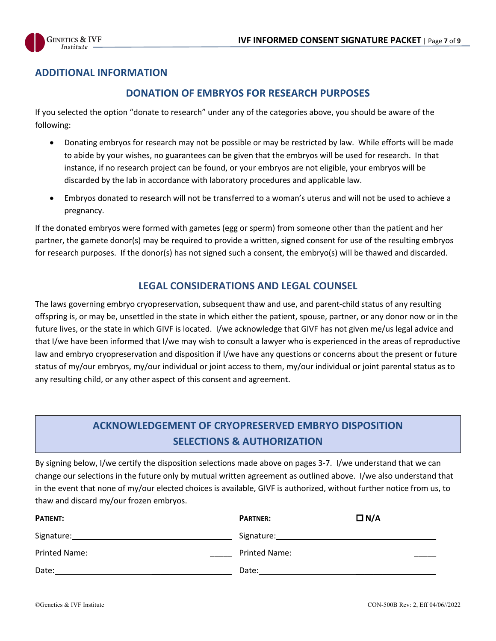

# **ADDITIONAL INFORMATION**

# **DONATION OF EMBRYOS FOR RESEARCH PURPOSES**

If you selected the option "donate to research" under any of the categories above, you should be aware of the following:

- Donating embryos for research may not be possible or may be restricted by law. While efforts will be made to abide by your wishes, no guarantees can be given that the embryos will be used for research. In that instance, if no research project can be found, or your embryos are not eligible, your embryos will be discarded by the lab in accordance with laboratory procedures and applicable law.
- Embryos donated to research will not be transferred to a woman's uterus and will not be used to achieve a pregnancy.

If the donated embryos were formed with gametes (egg or sperm) from someone other than the patient and her partner, the gamete donor(s) may be required to provide a written, signed consent for use of the resulting embryos for research purposes. If the donor(s) has not signed such a consent, the embryo(s) will be thawed and discarded.

# **LEGAL CONSIDERATIONS AND LEGAL COUNSEL**

The laws governing embryo cryopreservation, subsequent thaw and use, and parent-child status of any resulting offspring is, or may be, unsettled in the state in which either the patient, spouse, partner, or any donor now or in the future lives, or the state in which GIVF is located. I/we acknowledge that GIVF has not given me/us legal advice and that I/we have been informed that I/we may wish to consult a lawyer who is experienced in the areas of reproductive law and embryo cryopreservation and disposition if I/we have any questions or concerns about the present or future status of my/our embryos, my/our individual or joint access to them, my/our individual or joint parental status as to any resulting child, or any other aspect of this consent and agreement.

# **ACKNOWLEDGEMENT OF CRYOPRESERVED EMBRYO DISPOSITION SELECTIONS & AUTHORIZATION**

By signing below, I/we certify the disposition selections made above on pages 3-7. I/we understand that we can change our selections in the future only by mutual written agreement as outlined above. I/we also understand that in the event that none of my/our elected choices is available, GIVF is authorized, without further notice from us, to thaw and discard my/our frozen embryos.

| <b>PATIENT:</b>      | <b>PARTNER:</b> | $\Box N/A$ |
|----------------------|-----------------|------------|
|                      |                 |            |
| <b>Printed Name:</b> | Printed Name:   |            |
| Date:                | Date:           |            |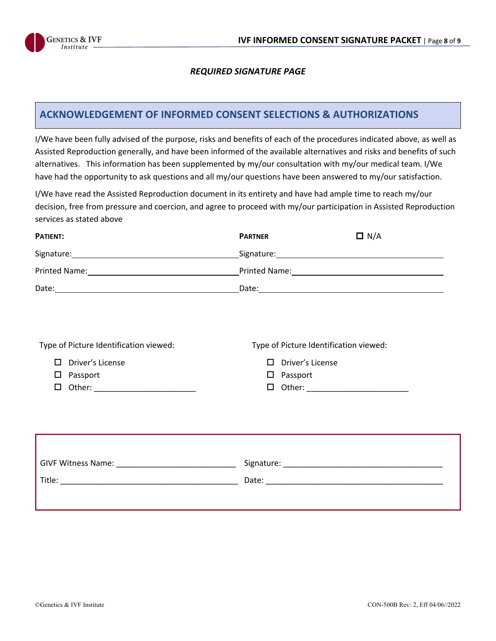

#### *REQUIRED SIGNATURE PAGE*

### **ACKNOWLEDGEMENT OF INFORMED CONSENT SELECTIONS & AUTHORIZATIONS**

I/We have been fully advised of the purpose, risks and benefits of each of the procedures indicated above, as well as Assisted Reproduction generally, and have been informed of the available alternatives and risks and benefits of such alternatives. This information has been supplemented by my/our consultation with my/our medical team. I/We have had the opportunity to ask questions and all my/our questions have been answered to my/our satisfaction.

I/We have read the Assisted Reproduction document in its entirety and have had ample time to reach my/our decision, free from pressure and coercion, and agree to proceed with my/our participation in Assisted Reproduction services as stated above

| <b>PATIENT:</b>                                                                                                                                                                                                                     | <b>PARTNER</b>                                                                                                                                                                                                                       | $\Box N/A$ |
|-------------------------------------------------------------------------------------------------------------------------------------------------------------------------------------------------------------------------------------|--------------------------------------------------------------------------------------------------------------------------------------------------------------------------------------------------------------------------------------|------------|
|                                                                                                                                                                                                                                     |                                                                                                                                                                                                                                      |            |
|                                                                                                                                                                                                                                     |                                                                                                                                                                                                                                      |            |
|                                                                                                                                                                                                                                     | Date: <u>Date: Exploration of the second contract of the second contract of the second contract of the second contract of the second contract of the second contract of the second contract of the second contract of the second</u> |            |
|                                                                                                                                                                                                                                     |                                                                                                                                                                                                                                      |            |
|                                                                                                                                                                                                                                     |                                                                                                                                                                                                                                      |            |
| Type of Picture Identification viewed:                                                                                                                                                                                              | Type of Picture Identification viewed:                                                                                                                                                                                               |            |
| п<br>Driver's License                                                                                                                                                                                                               | Driver's License<br>П.                                                                                                                                                                                                               |            |
| Passport<br>$\Box$                                                                                                                                                                                                                  | $\square$ Passport                                                                                                                                                                                                                   |            |
| Other: New York Products and Security Products and Security Products and Security Products and Security Products and Security Products and Security Products and Security Products and Security Products and Security Products<br>□ | Other: ____________________________<br>□                                                                                                                                                                                             |            |
|                                                                                                                                                                                                                                     |                                                                                                                                                                                                                                      |            |
|                                                                                                                                                                                                                                     |                                                                                                                                                                                                                                      |            |
|                                                                                                                                                                                                                                     |                                                                                                                                                                                                                                      |            |
|                                                                                                                                                                                                                                     |                                                                                                                                                                                                                                      |            |
|                                                                                                                                                                                                                                     |                                                                                                                                                                                                                                      |            |